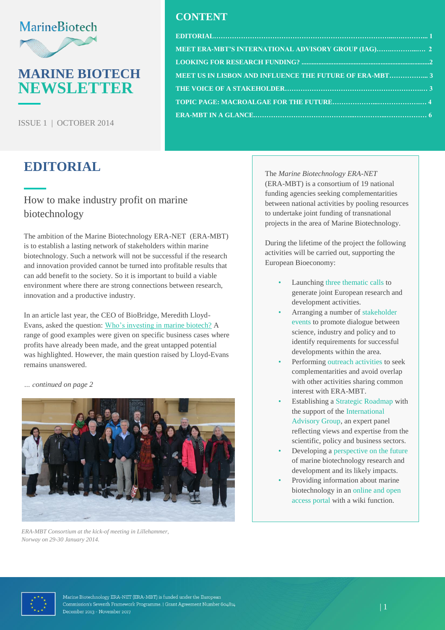# **MarineBiotech**

# **MARINE BIOTECH NEWSLETTER**

ISSUE 1 | OCTOBER 2014

# <span id="page-0-0"></span>**EDITORIAL**

### How to make industry profit on marine biotechnology

The ambition of the Marine Biotechnology ERA-NET (ERA-MBT) is to establish a lasting network of stakeholders within marine biotechnology. Such a network will not be successful if the research and innovation provided cannot be turned into profitable results that can add benefit to the society. So it is important to build a viable environment where there are strong connections between research, innovation and a productive industry.

In an article last year, the CEO of BioBridge, Meredith Lloyd-Evans, asked the question: [Who's investing in marine](http://www.marinebiotech.eu/sites/marinebiotech.eu/files/public/library/CSA%20outreach/ChemistryIndustry%20March%202013.pdf) biotech? A range of good examples were given on specific business cases where profits have already been made, and the great untapped potential was highlighted. However, the main question raised by Lloyd-Evans remains unanswered.

*… continued on page 2*



*ERA-MBT Consortium at the kick-of meeting in Lillehammer, Norway on 29-30 January 2014.*

### **CONTENT**

| $EDITIONAL1$                                            |  |
|---------------------------------------------------------|--|
|                                                         |  |
|                                                         |  |
| MEET US IN LISBON AND INFLUENCE THE FUTURE OF ERA-MBT 3 |  |
|                                                         |  |
|                                                         |  |
|                                                         |  |

The *Marine Biotechnology ERA-NET* (ERA-MBT) is a consortium of 19 national funding agencies seeking complementarities between national activities by pooling resources to undertake joint funding of transnational projects in the area of Marine Biotechnology.

During the lifetime of the project the following activities will be carried out, supporting the European Bioeconomy:

- Launching three thematic calls to generate joint European research and development activities.
- Arranging a number of stakeholder events to promote dialogue between science, industry and policy and to identify requirements for successful developments within the area.
- Performing outreach activities to seek complementarities and avoid overlap with other activities sharing common interest with ERA-MBT.
- Establishing a Strategic Roadmap with the support of the International Advisory Group, an expert panel reflecting views and expertise from the scientific, policy and business sectors.
- Developing a perspective on the future of marine biotechnology research and development and its likely impacts.
- Providing information about marine biotechnology in an online and open access portal with a wiki function.

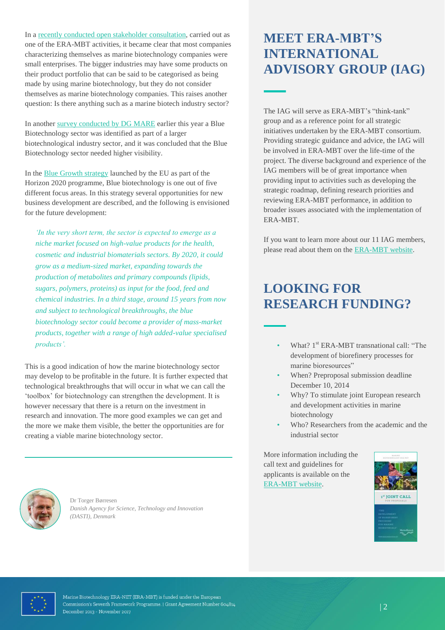In a [recently conducted open stakeholder consultation,](http://www.marinebiotech.eu/news-and-events/era-news/open-stakeholder-consultation-0) carried out as one of the ERA-MBT activities, it became clear that most companies characterizing themselves as marine biotechnology companies were small enterprises. The bigger industries may have some products on their product portfolio that can be said to be categorised as being made by using marine biotechnology, but they do not consider themselves as marine biotechnology companies. This raises another question: Is there anything such as a marine biotech industry sector?

In another [survey conducted by DG MARE](http://www.marinebiotech.eu/news-and-events/other-news/results-dg-mare-consultation-marine-biotechnology) earlier this year a Blue Biotechnology sector was identified as part of a larger biotechnological industry sector, and it was concluded that the Blue Biotechnology sector needed higher visibility.

In the [Blue Growth strategy](http://www.marinebiotech.eu/sites/marinebiotech.eu/files/public/library/MBT%20publications/2012%20Blue%20Growth.pdf) launched by the EU as part of the Horizon 2020 programme, Blue biotechnology is one out of five different focus areas. In this strategy several opportunities for new business development are described, and the following is envisioned for the future development:

*'In the very short term, the sector is expected to emerge as a niche market focused on high-value products for the health, cosmetic and industrial biomaterials sectors. By 2020, it could grow as a medium-sized market, expanding towards the production of metabolites and primary compounds (lipids, sugars, polymers, proteins) as input for the food, feed and chemical industries. In a third stage, around 15 years from now and subject to technological breakthroughs, the blue biotechnology sector could become a provider of mass-market products, together with a range of high added-value specialised products'.*

This is a good indication of how the marine biotechnology sector may develop to be profitable in the future. It is further expected that technological breakthroughs that will occur in what we can call the 'toolbox' for biotechnology can strengthen the development. It is however necessary that there is a return on the investment in research and innovation. The more good examples we can get and the more we make them visible, the better the opportunities are for creating a viable marine biotechnology sector.

# <span id="page-1-0"></span>**MEET ERA-MBT'S INTERNATIONAL ADVISORY GROUP (IAG)**

The IAG will serve as ERA-MBT's "think-tank" group and as a reference point for all strategic initiatives undertaken by the ERA-MBT consortium. Providing strategic guidance and advice, the IAG will be involved in ERA-MBT over the life-time of the project. The diverse background and experience of the IAG members will be of great importance when providing input to activities such as developing the strategic roadmap, defining research priorities and reviewing ERA-MBT performance, in addition to broader issues associated with the implementation of ERA-MBT.

If you want to learn more about our 11 IAG members, please read about them on the [ERA-MBT website.](http://www.marinebiotech.eu/international-advisory-group)

# <span id="page-1-1"></span>**LOOKING FOR RESEARCH FUNDING?**

- What? 1<sup>st</sup> ERA-MBT transnational call: "The development of biorefinery processes for marine bioresources"
- When? Preproposal submission deadline December 10, 2014
- Why? To stimulate joint European research and development activities in marine biotechnology
- Who? Researchers from the academic and the industrial sector

More information including the call text and guidelines for applicants is available on the [ERA-MBT website.](http://www.marinebiotech.eu/first-transnational-call)





Dr Torger Børresen *Danish Agency for Science, Technology and Innovation (DASTI), Denmark*

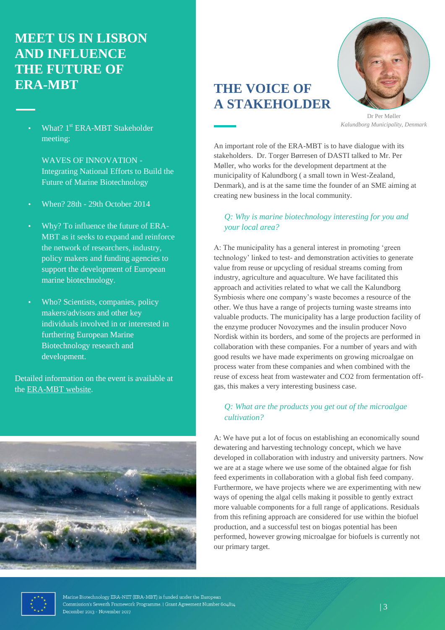# <span id="page-2-0"></span>**MEET US IN LISBON AND INFLUENCE THE FUTURE OF ERA-MBT**

What? 1<sup>st</sup> ERA-MBT Stakeholder meeting:

> WAVES OF INNOVATION - Integrating National Efforts to Build the Future of Marine Biotechnology

- When? 28th 29th October 2014
- Why? To influence the future of ERA-MBT as it seeks to expand and reinforce the network of researchers, industry, policy makers and funding agencies to support the development of European marine biotechnology.
- Who? Scientists, companies, policy makers/advisors and other key individuals involved in or interested in furthering European Marine Biotechnology research and development.

Detailed information on the event is available at the [ERA-MBT](http://www.marinebiotech.eu/stakeholder-meeting) website.



# <span id="page-2-1"></span>**THE VOICE OF A STAKEHOLDER**



Dr Per Møller *Kalundborg Municipality, Denmark*

An important role of the ERA-MBT is to have dialogue with its stakeholders. Dr. Torger Børresen of DASTI talked to Mr. Per Møller, who works for the development department at the municipality of Kalundborg ( a small town in West-Zealand, Denmark), and is at the same time the founder of an SME aiming at creating new business in the local community.

#### *Q: Why is marine biotechnology interesting for you and your local area?*

A: The municipality has a general interest in promoting 'green technology' linked to test- and demonstration activities to generate value from reuse or upcycling of residual streams coming from industry, agriculture and aquaculture. We have facilitated this approach and activities related to what we call the Kalundborg Symbiosis where one company's waste becomes a resource of the other. We thus have a range of projects turning waste streams into valuable products. The municipality has a large production facility of the enzyme producer Novozymes and the insulin producer Novo Nordisk within its borders, and some of the projects are performed in collaboration with these companies. For a number of years and with good results we have made experiments on growing microalgae on process water from these companies and when combined with the reuse of excess heat from wastewater and CO2 from fermentation offgas, this makes a very interesting business case.

#### *Q: What are the products you get out of the microalgae cultivation?*

A: We have put a lot of focus on establishing an economically sound dewatering and harvesting technology concept, which we have developed in collaboration with industry and university partners. Now we are at a stage where we use some of the obtained algae for fish feed experiments in collaboration with a global fish feed company. Furthermore, we have projects where we are experimenting with new ways of opening the algal cells making it possible to gently extract more valuable components for a full range of applications. Residuals from this refining approach are considered for use within the biofuel production, and a successful test on biogas potential has been performed, however growing microalgae for biofuels is currently not our primary target.

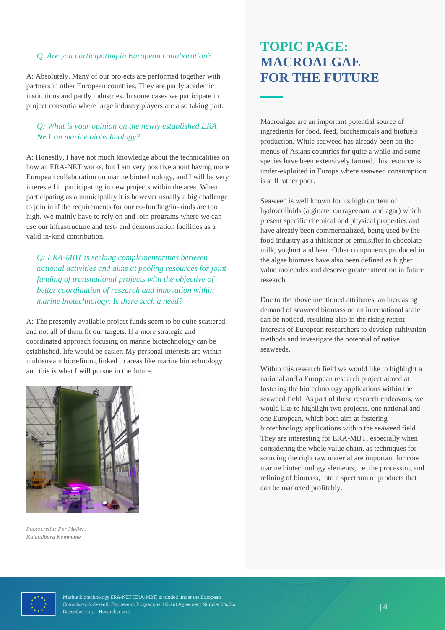#### *Q. Are you participating in European collaboration?*

A: Absolutely. Many of our projects are performed together with partners in other European countries. They are partly academic institutions and partly industries. In some cases we participate in project consortia where large industry players are also taking part.

#### *Q: What is your opinion on the newly established ERA NET on marine biotechnology?*

A: Honestly, I have not much knowledge about the technicalities on how an ERA-NET works, but I am very positive about having more European collaboration on marine biotechnology, and I will be very interested in participating in new projects within the area. When participating as a municipality it is however usually a big challenge to join in if the requirements for our co-funding/in-kinds are too high. We mainly have to rely on and join programs where we can use our infrastructure and test- and demonstration facilities as a valid in-kind contribution.

*Q: ERA-MBT is seeking complementarities between national activities and aims at pooling resources for joint funding of transnational projects with the objective of better coordination of research and innovation within marine biotechnology. Is there such a need?*

A: The presently available project funds seem to be quite scattered, and not all of them fit our targets. If a more strategic and coordinated approach focusing on marine biotechnology can be established, life would be easier. My personal interests are within multistream biorefining linked to areas like marine biotechnology and this is what I will pursue in the future.



*Photocredit: Per Møller, Kalundborg Kommune*

# <span id="page-3-0"></span>**TOPIC PAGE: MACROALGAE FOR THE FUTURE**

Macroalgae are an important potential source of ingredients for food, feed, biochemicals and biofuels production. While seaweed has already been on the menus of Asians countries for quite a while and some species have been extensively farmed, this resource is under-exploited in Europe where seaweed consumption is still rather poor.

Seaweed is well known for its high content of hydrocolloids (alginate, carrageenan, and agar) which present specific chemical and physical properties and have already been commercialized, being used by the food industry as a thickener or emulsifier in chocolate milk, yoghurt and beer. Other components produced in the algae biomass have also been defined as higher value molecules and deserve greater attention in future research.

Due to the above mentioned attributes, an increasing demand of seaweed biomass on an international scale can be noticed, resulting also in the rising recent interests of European researchers to develop cultivation methods and investigate the potential of native seaweeds.

Within this research field we would like to highlight a national and a European research project aimed at fostering the biotechnology applications within the seaweed field. As part of these research endeavors, we would like to highlight two projects, one national and one European, which both aim at fostering biotechnology applications within the seaweed field. They are interesting for ERA-MBT, especially when considering the whole value chain, as techniques for sourcing the right raw material are important for core marine biotechnology elements, i.e. the processing and refining of biomass, into a spectrum of products that can be marketed profitably.

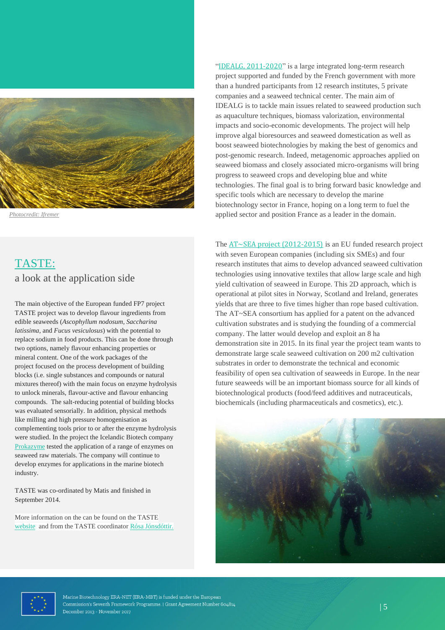

*Photocredit: Ifremer*

## TASTE: a look at the application side

The main objective of the European funded FP7 project TASTE project was to develop flavour ingredients from edible seaweeds (*Ascophyllum nodosum*, *Saccharina latissima*, and *Fucus vesiculosus*) with the potential to replace sodium in food products. This can be done through two options, namely flavour enhancing properties or mineral content. One of the work packages of the project focused on the process development of building blocks (i.e. single substances and compounds or natural mixtures thereof) with the main focus on enzyme hydrolysis to unlock minerals, flavour-active and flavour enhancing compounds. The salt-reducing potential of building blocks was evaluated sensorially. In addition, physical methods like milling and high pressure homogenisation as complementing tools prior to or after the enzyme hydrolysis were studied. In the project the Icelandic Biotech company [Prokazyme](http://www.prokazyme.com/) tested the application of a range of enzymes on seaweed raw materials. The company will continue to develop enzymes for applications in the marine biotech industry.

TASTE was co-ordinated by Matis and finished in September 2014.

More information on the can be found on the TASTE [website](http://tasteproject.net/) and from the TASTE coordinator [Rósa Jónsdóttir.](mailto:rosa.jonsdottir@matis.is?subject=TASTE%20project) "[IDEALG, 2011-2020](http://www.idealg.ueb.eu/versionAnglaise/)" is a large integrated long-term research project supported and funded by the French government with more than a hundred participants from 12 research institutes, 5 private companies and a seaweed technical center. The main aim of IDEALG is to tackle main issues related to seaweed production such as aquaculture techniques, biomass valorization, environmental impacts and socio-economic developments. The project will help improve algal bioresources and seaweed domestication as well as boost seaweed biotechnologies by making the best of genomics and post-genomic research. Indeed, metagenomic approaches applied on seaweed biomass and closely associated micro-organisms will bring progress to seaweed crops and developing blue and white technologies. The final goal is to bring forward basic knowledge and specific tools which are necessary to develop the marine biotechnology sector in France, hoping on a long term to fuel the applied sector and position France as a leader in the domain.

The  $AT \sim$ SEA project (2012-2015) is an EU funded research project with seven European companies (including six SMEs) and four research institutes that aims to develop advanced seaweed cultivation technologies using innovative textiles that allow large scale and high yield cultivation of seaweed in Europe. This 2D approach, which is operational at pilot sites in Norway, Scotland and Ireland, generates yields that are three to five times higher than rope based cultivation. The AT~SEA consortium has applied for a patent on the advanced cultivation substrates and is studying the founding of a commercial company. The latter would develop and exploit an 8 ha demonstration site in 2015. In its final year the project team wants to demonstrate large scale seaweed cultivation on 200 m2 cultivation substrates in order to demonstrate the technical and economic feasibility of open sea cultivation of seaweeds in Europe. In the near future seaweeds will be an important biomass source for all kinds of biotechnological products (food/feed additives and nutraceuticals, biochemicals (including pharmaceuticals and cosmetics), etc.).





Marine Biotechnology ERA-NET (ERA-MBT) is funded under the European Commission's Seventh Framework Programme. | Grant Agreement Number 604814 December 2013 - November 2017